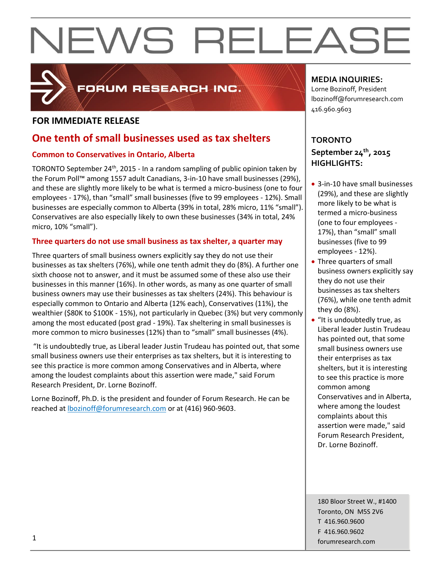

### FORUM RESEARCH INC.

#### **FOR IMMEDIATE RELEASE**

### **One tenth of small businesses used as tax shelters**

#### **Common to Conservatives in Ontario, Alberta**

TORONTO September 24<sup>th</sup>, 2015 - In a random sampling of public opinion taken by the Forum Poll™ among 1557 adult Canadians, 3-in-10 have small businesses (29%), and these are slightly more likely to be what is termed a micro-business (one to four employees - 17%), than "small" small businesses (five to 99 employees - 12%). Small businesses are especially common to Alberta (39% in total, 28% micro, 11% "small"). Conservatives are also especially likely to own these businesses (34% in total, 24% micro, 10% "small").

#### **Three quarters do not use small business as tax shelter, a quarter may**

Three quarters of small business owners explicitly say they do not use their businesses as tax shelters (76%), while one tenth admit they do (8%). A further one sixth choose not to answer, and it must be assumed some of these also use their businesses in this manner (16%). In other words, as many as one quarter of small business owners may use their businesses as tax shelters (24%). This behaviour is especially common to Ontario and Alberta (12% each), Conservatives (11%), the wealthier (\$80K to \$100K - 15%), not particularly in Quebec (3%) but very commonly among the most educated (post grad - 19%). Tax sheltering in small businesses is more common to micro businesses (12%) than to "small" small businesses (4%).

"It is undoubtedly true, as Liberal leader Justin Trudeau has pointed out, that some small business owners use their enterprises as tax shelters, but it is interesting to see this practice is more common among Conservatives and in Alberta, where among the loudest complaints about this assertion were made," said Forum Research President, Dr. Lorne Bozinoff.

Lorne Bozinoff, Ph.D. is the president and founder of Forum Research. He can be reached at [lbozinoff@forumresearch.com](mailto:lbozinoff@forumresearch.com) or at (416) 960-9603.

#### **MEDIA INQUIRIES:**

Lorne Bozinoff, President lbozinoff@forumresearch.com 416.960.9603

### **TORONTO September 24th, 2015 HIGHLIGHTS:**

- 3-in-10 have small businesses (29%), and these are slightly more likely to be what is termed a micro-business (one to four employees - 17%), than "small" small businesses (five to 99 employees - 12%).
- Three quarters of small business owners explicitly say they do not use their businesses as tax shelters (76%), while one tenth admit they do (8%).
- "It is undoubtedly true, as Liberal leader Justin Trudeau has pointed out, that some small business owners use their enterprises as tax shelters, but it is interesting to see this practice is more common among Conservatives and in Alberta, where among the loudest complaints about this assertion were made," said Forum Research President, Dr. Lorne Bozinoff.

180 Bloor Street W., #1400 Toronto, ON M5S 2V6 T 416.960.9600 F 416.960.9602 forumresearch.com 1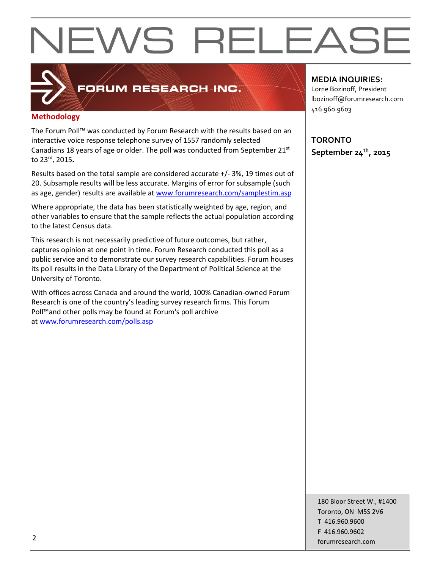### FORUM RESEARCH INC.

#### **Methodology**

The Forum Poll™ was conducted by Forum Research with the results based on an interactive voice response telephone survey of 1557 randomly selected Canadians 18 years of age or older. The poll was conducted from September 21<sup>st</sup> to 23rd, 2015**.**

Results based on the total sample are considered accurate +/- 3%, 19 times out of 20. Subsample results will be less accurate. Margins of error for subsample (such as age, gender) results are available at [www.forumresearch.com/samplestim.asp](http://www.forumresearch.com/samplestim.asp)

Where appropriate, the data has been statistically weighted by age, region, and other variables to ensure that the sample reflects the actual population according to the latest Census data.

This research is not necessarily predictive of future outcomes, but rather, captures opinion at one point in time. Forum Research conducted this poll as a public service and to demonstrate our survey research capabilities. Forum houses its poll results in the Data Library of the Department of Political Science at the University of Toronto.

With offices across Canada and around the world, 100% Canadian-owned Forum Research is one of the country's leading survey research firms. This Forum Poll™and other polls may be found at Forum's poll archive at [www.forumresearch.com/polls.asp](http://www.forumresearch.com/polls.asp)

#### **MEDIA INQUIRIES:**

Lorne Bozinoff, President lbozinoff@forumresearch.com 416.960.9603

**TORONTO September 24th, 2015**

180 Bloor Street W., #1400 Toronto, ON M5S 2V6 T 416.960.9600 F 416.960.9602 example to the contract of the contract of the contract of the contract of the contract of the contract of the contract of the contract of the contract of the contract of the contract of the contract of the contract of the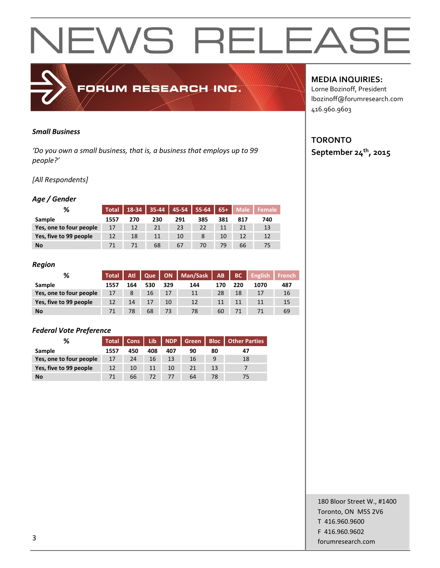#### *Small Business*

*'Do you own a small business, that is, a business that employs up to 99 people?'*

FORUM RESEARCH INC.

#### *[All Respondents]*

#### *Age / Gender*

| ℅                       | Total | 18-34 | $35 - 44$ | $45-54$ | $55-64$ | $65+$ | <b>Male</b> | <b>Female</b> |
|-------------------------|-------|-------|-----------|---------|---------|-------|-------------|---------------|
| Sample                  | 1557  | 270   | 230       | 291     | 385     | 381   | 817         | 740           |
| Yes, one to four people | 17    | 12    | 21        | 23      | 22      |       |             | 13            |
| Yes, five to 99 people  | 12    | 18    | 11        | 10      |         | 10    |             | 12            |
| <b>No</b>               | 71    |       | 68        | 67      | 70      | 79    | 66          | 75            |

#### *Region*

| %                       | <b>Total</b> | Atl | Que |     | ON Man/Sask AB |     | BC  | <b>English</b> | French <b>B</b> |
|-------------------------|--------------|-----|-----|-----|----------------|-----|-----|----------------|-----------------|
| Sample                  | 1557         | 164 | 530 | 329 | 144            | 170 | 220 | 1070           | 487             |
| Yes, one to four people | 17           | 8   | 16  | 17  | 11             | 28  | 18  | 17             | 16              |
| Yes, five to 99 people  | 12           | 14  | 17  | 10  | 12             | 11  | 11  | 11             | 15              |
| <b>No</b>               | 71           | 78  | 68  | 73  | 78             | 60  | 71  |                | 69              |

#### *Federal Vote Preference*

| ℅                       |      |     |     |     |    |    | Total   Cons   Lib   NDP   Green   Bloc   Other Parties |
|-------------------------|------|-----|-----|-----|----|----|---------------------------------------------------------|
| Sample                  | 1557 | 450 | 408 | 407 | 90 | 80 |                                                         |
| Yes, one to four people | 17   | 24  | 16  | 13  | 16 | 9  | 18                                                      |
| Yes, five to 99 people  | 12   | 10  | 11  | 10  |    | 13 |                                                         |
| <b>No</b>               | 71   | 66  | 72  |     | 64 | 78 |                                                         |

#### **MEDIA INQUIRIES:**

Lorne Bozinoff, President lbozinoff@forumresearch.com 416.960.9603

#### **TORONTO September 24th, 2015**

180 Bloor Street W., #1400 Toronto, ON M5S 2V6 T 416.960.9600 F 416.960.9602 forumresearch.com and the set of the set of the set of the set of the set of the set of the set of the set of the set of the set of the set of the set of the set of the set of the set of the set of the set of the set of th